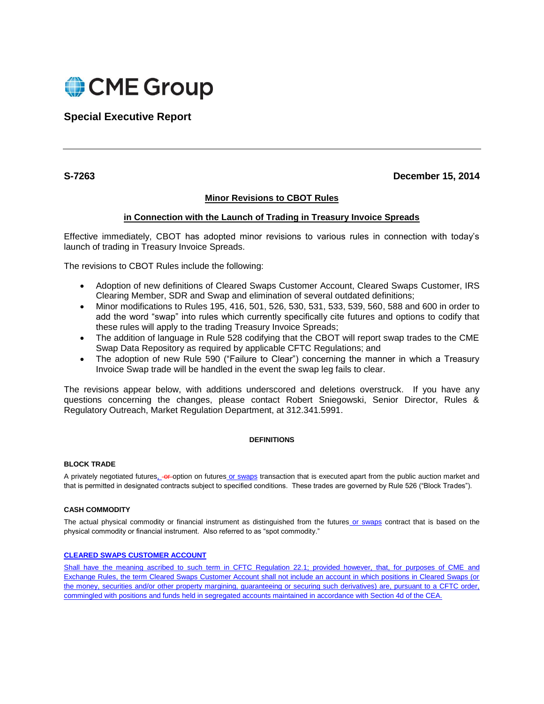

**Special Executive Report**

**S-7263 December 15, 2014**

# **Minor Revisions to CBOT Rules**

# **in Connection with the Launch of Trading in Treasury Invoice Spreads**

Effective immediately, CBOT has adopted minor revisions to various rules in connection with today's launch of trading in Treasury Invoice Spreads.

The revisions to CBOT Rules include the following:

- Adoption of new definitions of Cleared Swaps Customer Account, Cleared Swaps Customer, IRS Clearing Member, SDR and Swap and elimination of several outdated definitions;
- Minor modifications to Rules 195, 416, 501, 526, 530, 531, 533, 539, 560, 588 and 600 in order to add the word "swap" into rules which currently specifically cite futures and options to codify that these rules will apply to the trading Treasury Invoice Spreads;
- The addition of language in Rule 528 codifying that the CBOT will report swap trades to the CME Swap Data Repository as required by applicable CFTC Regulations; and
- The adoption of new Rule 590 ("Failure to Clear") concerning the manner in which a Treasury Invoice Swap trade will be handled in the event the swap leg fails to clear.

The revisions appear below, with additions underscored and deletions overstruck. If you have any questions concerning the changes, please contact Robert Sniegowski, Senior Director, Rules & Regulatory Outreach, Market Regulation Department, at 312.341.5991.

# **DEFINITIONS**

# **BLOCK TRADE**

A privately negotiated futures, or option on futures or swaps transaction that is executed apart from the public auction market and that is permitted in designated contracts subject to specified conditions. These trades are governed by Rule 526 ("Block Trades").

## **CASH COMMODITY**

The actual physical commodity or financial instrument as distinguished from the futures or swaps contract that is based on the physical commodity or financial instrument. Also referred to as "spot commodity."

## **CLEARED SWAPS CUSTOMER ACCOUNT**

Shall have the meaning ascribed to such term in CFTC Regulation 22.1; provided however, that, for purposes of CME and Exchange Rules, the term Cleared Swaps Customer Account shall not include an account in which positions in Cleared Swaps (or the money, securities and/or other property margining, guaranteeing or securing such derivatives) are, pursuant to a CFTC order, commingled with positions and funds held in segregated accounts maintained in accordance with Section 4d of the CEA.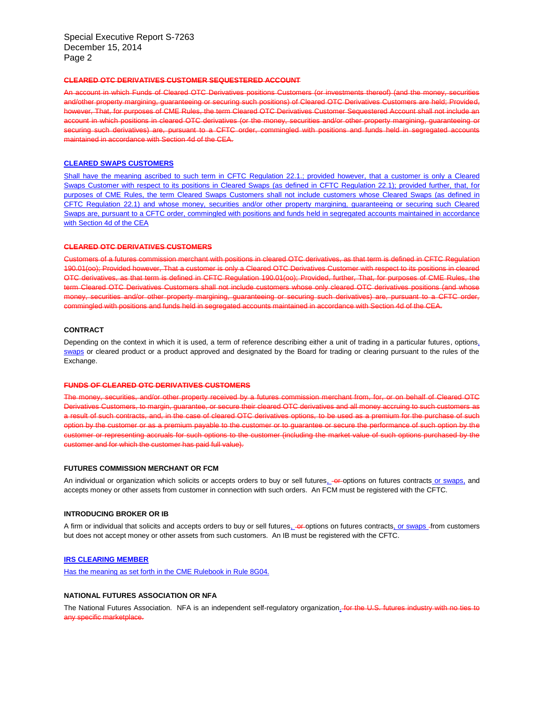Special Executive Report S-7263 December 15, 2014 Page 2

#### **CLEARED OTC DERIVATIVES CUSTOMER SEQUESTERED ACCOUNT**

An account in which Funds of Cleared OTC Derivatives positions Customers (or investments thereof) (and the money, securities and/other property margining, guaranteeing or securing such positions) of Cleared OTC Derivatives Customers are held; Provided, however, That, for purposes of CME Rules, the term Cleared OTC Derivatives Customer Sequestered Account shall not include an account in which positions in cleared OTC derivatives (or the money, securities and/or other property margining, guaranteeing or securing such derivatives) are, pursuant to a CFTC order, commingled with positions and funds held in segregated accounts maintained in accordance with Section 4d of the CEA.

## **CLEARED SWAPS CUSTOMERS**

Shall have the meaning ascribed to such term in CFTC Regulation 22.1.; provided however, that a customer is only a Cleared Swaps Customer with respect to its positions in Cleared Swaps (as defined in CFTC Regulation 22.1); provided further, that, for purposes of CME Rules, the term Cleared Swaps Customers shall not include customers whose Cleared Swaps (as defined in CFTC Regulation 22.1) and whose money, securities and/or other property margining, guaranteeing or securing such Cleared Swaps are, pursuant to a CFTC order, commingled with positions and funds held in segregated accounts maintained in accordance with Section 4d of the CEA

#### **CLEARED OTC DERIVATIVES CUSTOMERS**

Customers of a futures commission merchant with positions in cleared OTC derivatives, as that term is defined in CFTC Regulation 190.01(oo); Provided however, That a customer is only a Cleared OTC Derivatives Customer with respect to its positions in cleared OTC derivatives, as that term is defined in CFTC Regulation 190.01(oo); Provided, further, That, for purposes of CME Rules, the term Cleared OTC Derivatives Customers shall not include customers whose only cleared OTC derivatives positions (and whose money, securities and/or other property margining, guaranteeing or securing such derivatives) are, pursuant to a CFTC order, commingled with positions and funds held in segregated accounts maintained in accordance with Section 4d of the CEA.

#### **CONTRACT**

Depending on the context in which it is used, a term of reference describing either a unit of trading in a particular futures, options, swaps or cleared product or a product approved and designated by the Board for trading or clearing pursuant to the rules of the Exchange.

#### **FUNDS OF CLEARED OTC DERIVATIVES CUSTOMERS**

The money, securities, and/or other property received by a futures commission merchant from, for, or on behalf of Cleared OTC Derivatives Customers, to margin, guarantee, or secure their cleared OTC derivatives and all money accruing to such customers as a result of such contracts, and, in the case of cleared OTC derivatives options, to be used as a premium for the purchase of such option by the customer or as a premium payable to the customer or to guarantee or secure the performance of such option by the customer or representing accruals for such options to the customer (including the market value of such options purchased by the customer and for which the customer has paid full value).

### **FUTURES COMMISSION MERCHANT OR FCM**

An individual or organization which solicits or accepts orders to buy or sell futures, or options on futures contracts or swaps, and accepts money or other assets from customer in connection with such orders. An FCM must be registered with the CFTC.

### **INTRODUCING BROKER OR IB**

A firm or individual that solicits and accepts orders to buy or sell futures, or options on futures contracts, or swaps - from customers but does not accept money or other assets from such customers. An IB must be registered with the CFTC.

#### **IRS CLEARING MEMBER**

Has the meaning as set forth in the CME Rulebook in Rule 8G04.

## **NATIONAL FUTURES ASSOCIATION OR NFA**

The National Futures Association. NFA is an independent self-regulatory organization. for the U.S. futures industry with no ties to any specific marketplace.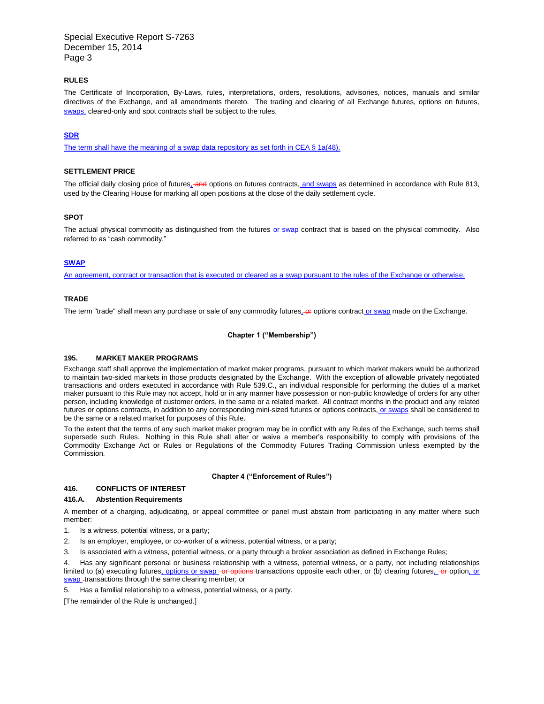Special Executive Report S-7263 December 15, 2014 Page 3

## **RULES**

The Certificate of Incorporation, By-Laws, rules, interpretations, orders, resolutions, advisories, notices, manuals and similar directives of the Exchange, and all amendments thereto. The trading and clearing of all Exchange futures, options on futures, swaps, cleared-only and spot contracts shall be subject to the rules.

## **SDR**

The term shall have the meaning of a swap data repository as set forth in CEA § 1a(48).

## **SETTLEMENT PRICE**

The official daily closing price of futures, and options on futures contracts, and swaps as determined in accordance with Rule 813, used by the Clearing House for marking all open positions at the close of the daily settlement cycle.

## **SPOT**

The actual physical commodity as distinguished from the futures or swap contract that is based on the physical commodity. Also referred to as "cash commodity."

#### **SWAP**

An agreement, contract or transaction that is executed or cleared as a swap pursuant to the rules of the Exchange or otherwise.

## **TRADE**

The term "trade" shall mean any purchase or sale of any commodity futures. Or options contract or swap made on the Exchange.

#### **Chapter 1 ("Membership")**

#### **195. MARKET MAKER PROGRAMS**

Exchange staff shall approve the implementation of market maker programs, pursuant to which market makers would be authorized to maintain two-sided markets in those products designated by the Exchange. With the exception of allowable privately negotiated transactions and orders executed in accordance with Rule 539.C., an individual responsible for performing the duties of a market maker pursuant to this Rule may not accept, hold or in any manner have possession or non-public knowledge of orders for any other person, including knowledge of customer orders, in the same or a related market. All contract months in the product and any related futures or options contracts, in addition to any corresponding mini-sized futures or options contracts, or swaps shall be considered to be the same or a related market for purposes of this Rule.

To the extent that the terms of any such market maker program may be in conflict with any Rules of the Exchange, such terms shall supersede such Rules. Nothing in this Rule shall alter or waive a member's responsibility to comply with provisions of the Commodity Exchange Act or Rules or Regulations of the Commodity Futures Trading Commission unless exempted by the Commission.

#### **Chapter 4 ("Enforcement of Rules")**

## **416. CONFLICTS OF INTEREST**

#### **416.A. Abstention Requirements**

A member of a charging, adjudicating, or appeal committee or panel must abstain from participating in any matter where such member:

- 1. Is a witness, potential witness, or a party;
- 2. Is an employer, employee, or co-worker of a witness, potential witness, or a party;
- 3. Is associated with a witness, potential witness, or a party through a broker association as defined in Exchange Rules;

Has any significant personal or business relationship with a witness, potential witness, or a party, not including relationships limited to (a) executing futures, options or swap -or options transactions opposite each other, or (b) clearing futures, -or-option, or swap -transactions through the same clearing member; or

5. Has a familial relationship to a witness, potential witness, or a party.

[The remainder of the Rule is unchanged.]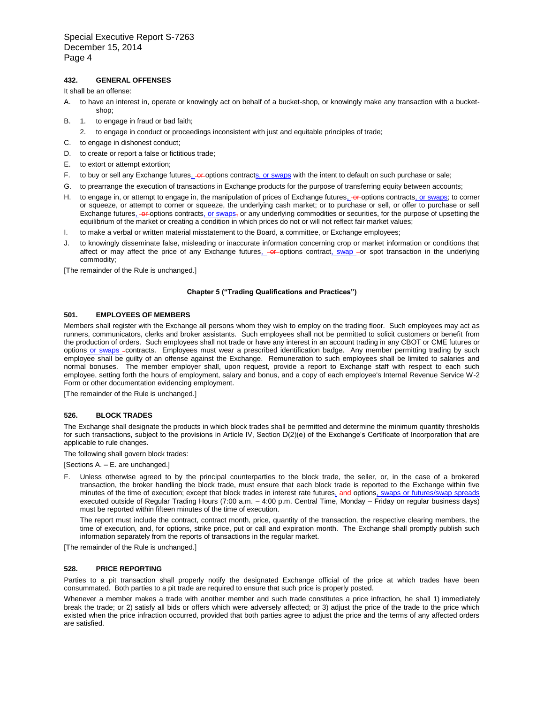## **432. GENERAL OFFENSES**

It shall be an offense:

- A. to have an interest in, operate or knowingly act on behalf of a bucket-shop, or knowingly make any transaction with a bucketshop;
- B. 1. to engage in fraud or bad faith;
	- 2. to engage in conduct or proceedings inconsistent with just and equitable principles of trade;
- C. to engage in dishonest conduct;
- D. to create or report a false or fictitious trade;
- E. to extort or attempt extortion;
- F. to buy or sell any Exchange futures<sub>1</sub>-or-options contracts, or swaps with the intent to default on such purchase or sale;
- G. to prearrange the execution of transactions in Exchange products for the purpose of transferring equity between accounts;
- H. to engage in, or attempt to engage in, the manipulation of prices of Exchange futures, -or-options contracts, or swaps; to corner or squeeze, or attempt to corner or squeeze, the underlying cash market; or to purchase or sell, or offer to purchase or sell Exchange futures, -or-options contracts, or swaps<sub></sub> or any underlying commodities or securities, for the purpose of upsetting the equilibrium of the market or creating a condition in which prices do not or will not reflect fair market values;
- I. to make a verbal or written material misstatement to the Board, a committee, or Exchange employees;
- J. to knowingly disseminate false, misleading or inaccurate information concerning crop or market information or conditions that affect or may affect the price of any Exchange futures, or options contract, swap -or spot transaction in the underlying commodity;

[The remainder of the Rule is unchanged.]

#### **Chapter 5 ("Trading Qualifications and Practices")**

### **501. EMPLOYEES OF MEMBERS**

Members shall register with the Exchange all persons whom they wish to employ on the trading floor. Such employees may act as runners, communicators, clerks and broker assistants. Such employees shall not be permitted to solicit customers or benefit from the production of orders. Such employees shall not trade or have any interest in an account trading in any CBOT or CME futures or options or swaps -contracts. Employees must wear a prescribed identification badge. Any member permitting trading by such employee shall be guilty of an offense against the Exchange. Remuneration to such employees shall be limited to salaries and normal bonuses. The member employer shall, upon request, provide a report to Exchange staff with respect to each such employee, setting forth the hours of employment, salary and bonus, and a copy of each employee's Internal Revenue Service W-2 Form or other documentation evidencing employment.

[The remainder of the Rule is unchanged.]

#### **526. BLOCK TRADES**

The Exchange shall designate the products in which block trades shall be permitted and determine the minimum quantity thresholds for such transactions, subject to the provisions in Article IV, Section D(2)(e) of the Exchange's Certificate of Incorporation that are applicable to rule changes.

The following shall govern block trades:

[Sections A. – E. are unchanged.]

F. Unless otherwise agreed to by the principal counterparties to the block trade, the seller, or, in the case of a brokered transaction, the broker handling the block trade, must ensure that each block trade is reported to the Exchange within five minutes of the time of execution; except that block trades in interest rate futures, and options, swaps or futures/swap spreads executed outside of Regular Trading Hours (7:00 a.m. – 4:00 p.m. Central Time, Monday – Friday on regular business days) must be reported within fifteen minutes of the time of execution.

The report must include the contract, contract month, price, quantity of the transaction, the respective clearing members, the time of execution, and, for options, strike price, put or call and expiration month. The Exchange shall promptly publish such information separately from the reports of transactions in the regular market.

[The remainder of the Rule is unchanged.]

### **528. PRICE REPORTING**

Parties to a pit transaction shall properly notify the designated Exchange official of the price at which trades have been consummated. Both parties to a pit trade are required to ensure that such price is properly posted.

Whenever a member makes a trade with another member and such trade constitutes a price infraction, he shall 1) immediately break the trade; or 2) satisfy all bids or offers which were adversely affected; or 3) adjust the price of the trade to the price which existed when the price infraction occurred, provided that both parties agree to adjust the price and the terms of any affected orders are satisfied.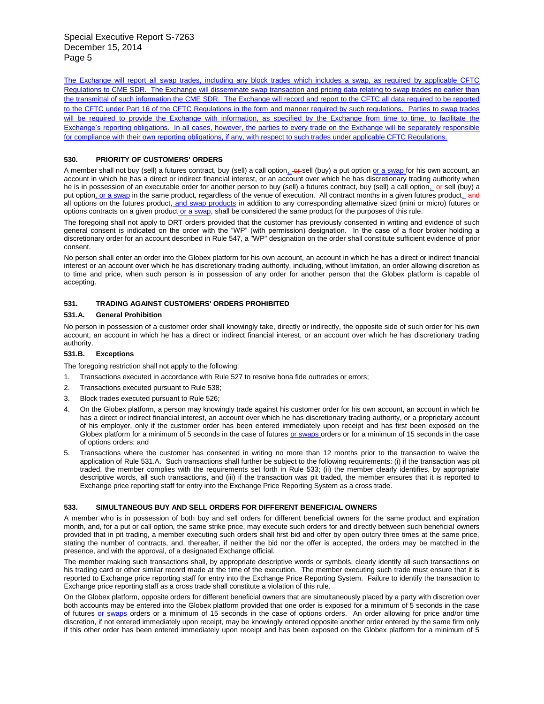The Exchange will report all swap trades, including any block trades which includes a swap, as required by applicable CFTC Regulations to CME SDR. The Exchange will disseminate swap transaction and pricing data relating to swap trades no earlier than the transmittal of such information the CME SDR. The Exchange will record and report to the CFTC all data required to be reported to the CFTC under Part 16 of the CFTC Regulations in the form and manner required by such regulations. Parties to swap trades will be required to provide the Exchange with information, as specified by the Exchange from time to time, to facilitate the Exchange's reporting obligations. In all cases, however, the parties to every trade on the Exchange will be separately responsible for compliance with their own reporting obligations, if any, with respect to such trades under applicable CFTC Regulations.

## **530. PRIORITY OF CUSTOMERS' ORDERS**

A member shall not buy (sell) a futures contract, buy (sell) a call option. - or sell (buy) a put option or a swap for his own account, an account in which he has a direct or indirect financial interest, or an account over which he has discretionary trading authority when he is in possession of an executable order for another person to buy (sell) a futures contract, buy (sell) a call option, or sell (buy) a put option, or a swap in the same product, regardless of the venue of execution. All contract months in a given futures product, and all options on the futures product, and swap products in addition to any corresponding alternative sized (mini or micro) futures or options contracts on a given product or a swap, shall be considered the same product for the purposes of this rule.

The foregoing shall not apply to DRT orders provided that the customer has previously consented in writing and evidence of such general consent is indicated on the order with the "WP" (with permission) designation. In the case of a floor broker holding a discretionary order for an account described in Rule 547, a "WP" designation on the order shall constitute sufficient evidence of prior consent.

No person shall enter an order into the Globex platform for his own account, an account in which he has a direct or indirect financial interest or an account over which he has discretionary trading authority, including, without limitation, an order allowing discretion as to time and price, when such person is in possession of any order for another person that the Globex platform is capable of accepting.

# **531. TRADING AGAINST CUSTOMERS' ORDERS PROHIBITED**

## **531.A. General Prohibition**

No person in possession of a customer order shall knowingly take, directly or indirectly, the opposite side of such order for his own account, an account in which he has a direct or indirect financial interest, or an account over which he has discretionary trading authority.

## **531.B. Exceptions**

The foregoing restriction shall not apply to the following:

- 1. Transactions executed in accordance with Rule 527 to resolve bona fide outtrades or errors;
- 2. Transactions executed pursuant to Rule 538;
- 3. Block trades executed pursuant to Rule 526;
- 4. On the Globex platform, a person may knowingly trade against his customer order for his own account, an account in which he has a direct or indirect financial interest, an account over which he has discretionary trading authority, or a proprietary account of his employer, only if the customer order has been entered immediately upon receipt and has first been exposed on the Globex platform for a minimum of 5 seconds in the case of futures or swaps orders or for a minimum of 15 seconds in the case of options orders; and
- 5. Transactions where the customer has consented in writing no more than 12 months prior to the transaction to waive the application of Rule 531.A. Such transactions shall further be subject to the following requirements: (i) if the transaction was pit traded, the member complies with the requirements set forth in Rule 533; (ii) the member clearly identifies, by appropriate descriptive words, all such transactions, and (iii) if the transaction was pit traded, the member ensures that it is reported to Exchange price reporting staff for entry into the Exchange Price Reporting System as a cross trade.

## **533. SIMULTANEOUS BUY AND SELL ORDERS FOR DIFFERENT BENEFICIAL OWNERS**

A member who is in possession of both buy and sell orders for different beneficial owners for the same product and expiration month, and, for a put or call option, the same strike price, may execute such orders for and directly between such beneficial owners provided that in pit trading, a member executing such orders shall first bid and offer by open outcry three times at the same price, stating the number of contracts, and, thereafter, if neither the bid nor the offer is accepted, the orders may be matched in the presence, and with the approval, of a designated Exchange official.

The member making such transactions shall, by appropriate descriptive words or symbols, clearly identify all such transactions on his trading card or other similar record made at the time of the execution. The member executing such trade must ensure that it is reported to Exchange price reporting staff for entry into the Exchange Price Reporting System. Failure to identify the transaction to Exchange price reporting staff as a cross trade shall constitute a violation of this rule.

On the Globex platform, opposite orders for different beneficial owners that are simultaneously placed by a party with discretion over both accounts may be entered into the Globex platform provided that one order is exposed for a minimum of 5 seconds in the case of futures or swaps orders or a minimum of 15 seconds in the case of options orders. An order allowing for price and/or time discretion, if not entered immediately upon receipt, may be knowingly entered opposite another order entered by the same firm only if this other order has been entered immediately upon receipt and has been exposed on the Globex platform for a minimum of 5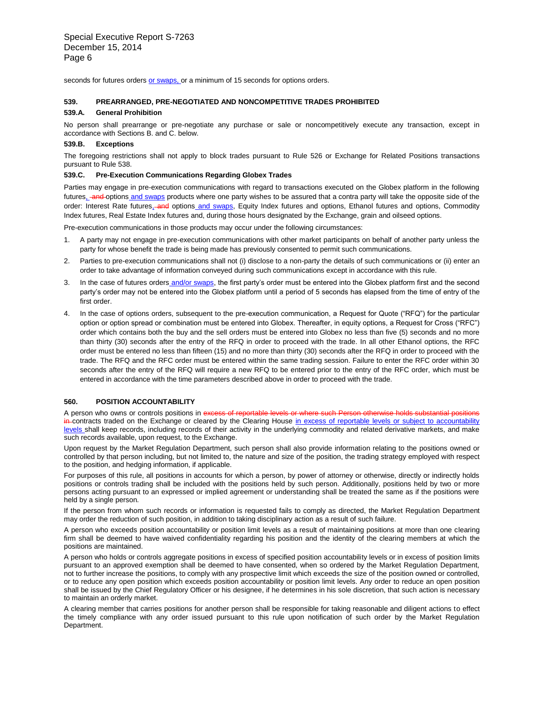seconds for futures orders or swaps, or a minimum of 15 seconds for options orders.

## **539. PREARRANGED, PRE-NEGOTIATED AND NONCOMPETITIVE TRADES PROHIBITED**

#### **539.A. General Prohibition**

No person shall prearrange or pre-negotiate any purchase or sale or noncompetitively execute any transaction, except in accordance with Sections B. and C. below.

#### **539.B. Exceptions**

The foregoing restrictions shall not apply to block trades pursuant to Rule 526 or Exchange for Related Positions transactions pursuant to Rule 538.

#### **539.C. Pre-Execution Communications Regarding Globex Trades**

Parties may engage in pre-execution communications with regard to transactions executed on the Globex platform in the following futures, and options and swaps products where one party wishes to be assured that a contra party will take the opposite side of the order: Interest Rate futures, and options and swaps, Equity Index futures and options, Ethanol futures and options, Commodity Index futures, Real Estate Index futures and, during those hours designated by the Exchange, grain and oilseed options.

Pre-execution communications in those products may occur under the following circumstances:

- 1. A party may not engage in pre-execution communications with other market participants on behalf of another party unless the party for whose benefit the trade is being made has previously consented to permit such communications.
- 2. Parties to pre-execution communications shall not (i) disclose to a non-party the details of such communications or (ii) enter an order to take advantage of information conveyed during such communications except in accordance with this rule.
- 3. In the case of futures orders and/or swaps, the first party's order must be entered into the Globex platform first and the second party's order may not be entered into the Globex platform until a period of 5 seconds has elapsed from the time of entry of the first order.
- 4. In the case of options orders, subsequent to the pre-execution communication, a Request for Quote ("RFQ") for the particular option or option spread or combination must be entered into Globex. Thereafter, in equity options, a Request for Cross ("RFC") order which contains both the buy and the sell orders must be entered into Globex no less than five (5) seconds and no more than thirty (30) seconds after the entry of the RFQ in order to proceed with the trade. In all other Ethanol options, the RFC order must be entered no less than fifteen (15) and no more than thirty (30) seconds after the RFQ in order to proceed with the trade. The RFQ and the RFC order must be entered within the same trading session. Failure to enter the RFC order within 30 seconds after the entry of the RFQ will require a new RFQ to be entered prior to the entry of the RFC order, which must be entered in accordance with the time parameters described above in order to proceed with the trade.

## **560. POSITION ACCOUNTABILITY**

A person who owns or controls positions in  $ex$ in contracts traded on the Exchange or cleared by the Clearing House in excess of reportable levels or subject to accountability levels shall keep records, including records of their activity in the underlying commodity and related derivative markets, and make such records available, upon request, to the Exchange.

Upon request by the Market Regulation Department, such person shall also provide information relating to the positions owned or controlled by that person including, but not limited to, the nature and size of the position, the trading strategy employed with respect to the position, and hedging information, if applicable.

For purposes of this rule, all positions in accounts for which a person, by power of attorney or otherwise, directly or indirectly holds positions or controls trading shall be included with the positions held by such person. Additionally, positions held by two or more persons acting pursuant to an expressed or implied agreement or understanding shall be treated the same as if the positions were held by a single person.

If the person from whom such records or information is requested fails to comply as directed, the Market Regulation Department may order the reduction of such position, in addition to taking disciplinary action as a result of such failure.

A person who exceeds position accountability or position limit levels as a result of maintaining positions at more than one clearing firm shall be deemed to have waived confidentiality regarding his position and the identity of the clearing members at which the positions are maintained.

A person who holds or controls aggregate positions in excess of specified position accountability levels or in excess of position limits pursuant to an approved exemption shall be deemed to have consented, when so ordered by the Market Regulation Department, not to further increase the positions, to comply with any prospective limit which exceeds the size of the position owned or controlled, or to reduce any open position which exceeds position accountability or position limit levels. Any order to reduce an open position shall be issued by the Chief Regulatory Officer or his designee, if he determines in his sole discretion, that such action is necessary to maintain an orderly market.

A clearing member that carries positions for another person shall be responsible for taking reasonable and diligent actions to effect the timely compliance with any order issued pursuant to this rule upon notification of such order by the Market Regulation Department.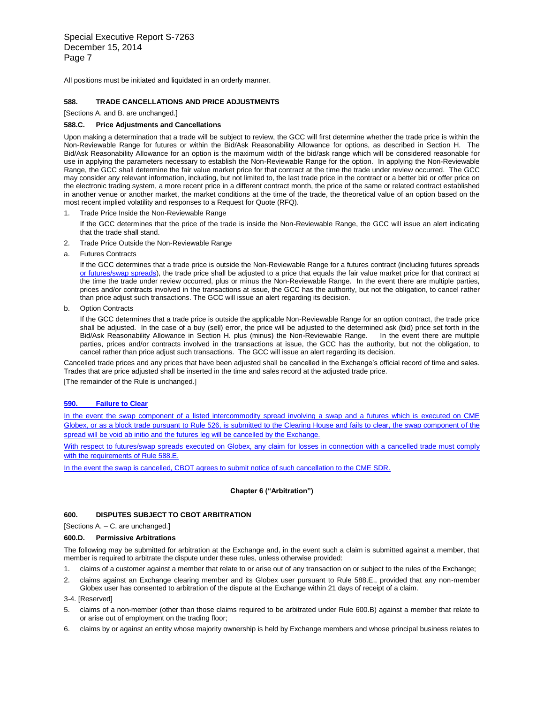Special Executive Report S-7263 December 15, 2014 Page 7

All positions must be initiated and liquidated in an orderly manner.

## **588. TRADE CANCELLATIONS AND PRICE ADJUSTMENTS**

[Sections A. and B. are unchanged.]

#### **588.C. Price Adjustments and Cancellations**

Upon making a determination that a trade will be subject to review, the GCC will first determine whether the trade price is within the Non-Reviewable Range for futures or within the Bid/Ask Reasonability Allowance for options, as described in Section H. The Bid/Ask Reasonability Allowance for an option is the maximum width of the bid/ask range which will be considered reasonable for use in applying the parameters necessary to establish the Non-Reviewable Range for the option. In applying the Non-Reviewable Range, the GCC shall determine the fair value market price for that contract at the time the trade under review occurred. The GCC may consider any relevant information, including, but not limited to, the last trade price in the contract or a better bid or offer price on the electronic trading system, a more recent price in a different contract month, the price of the same or related contract established in another venue or another market, the market conditions at the time of the trade, the theoretical value of an option based on the most recent implied volatility and responses to a Request for Quote (RFQ).

1. Trade Price Inside the Non-Reviewable Range

If the GCC determines that the price of the trade is inside the Non-Reviewable Range, the GCC will issue an alert indicating that the trade shall stand.

- 2. Trade Price Outside the Non-Reviewable Range
- a. Futures Contracts

If the GCC determines that a trade price is outside the Non-Reviewable Range for a futures contract (including futures spreads or futures/swap spreads), the trade price shall be adjusted to a price that equals the fair value market price for that contract at the time the trade under review occurred, plus or minus the Non-Reviewable Range. In the event there are multiple parties, prices and/or contracts involved in the transactions at issue, the GCC has the authority, but not the obligation, to cancel rather than price adjust such transactions. The GCC will issue an alert regarding its decision.

b. Option Contracts

If the GCC determines that a trade price is outside the applicable Non-Reviewable Range for an option contract, the trade price shall be adjusted. In the case of a buy (sell) error, the price will be adjusted to the determined ask (bid) price set forth in the Bid/Ask Reasonability Allowance in Section H. plus (minus) the Non-Reviewable Range. In the event there are multiple parties, prices and/or contracts involved in the transactions at issue, the GCC has the authority, but not the obligation, to cancel rather than price adjust such transactions. The GCC will issue an alert regarding its decision.

Cancelled trade prices and any prices that have been adjusted shall be cancelled in the Exchange's official record of time and sales. Trades that are price adjusted shall be inserted in the time and sales record at the adjusted trade price.

[The remainder of the Rule is unchanged.]

## **590. Failure to Clear**

In the event the swap component of a listed intercommodity spread involving a swap and a futures which is executed on CME Globex, or as a block trade pursuant to Rule 526, is submitted to the Clearing House and fails to clear, the swap component of the spread will be void ab initio and the futures leg will be cancelled by the Exchange.

With respect to futures/swap spreads executed on Globex, any claim for losses in connection with a cancelled trade must comply with the requirements of Rule 588.E.

In the event the swap is cancelled, CBOT agrees to submit notice of such cancellation to the CME SDR.

#### **Chapter 6 ("Arbitration")**

## **600. DISPUTES SUBJECT TO CBOT ARBITRATION**

[Sections A. – C. are unchanged.]

## **600.D. Permissive Arbitrations**

The following may be submitted for arbitration at the Exchange and, in the event such a claim is submitted against a member, that member is required to arbitrate the dispute under these rules, unless otherwise provided:

- 1. claims of a customer against a member that relate to or arise out of any transaction on or subject to the rules of the Exchange;
- 2. claims against an Exchange clearing member and its Globex user pursuant to Rule 588.E., provided that any non-member Globex user has consented to arbitration of the dispute at the Exchange within 21 days of receipt of a claim.

3-4. [Reserved]

- 5. claims of a non-member (other than those claims required to be arbitrated under Rule 600.B) against a member that relate to or arise out of employment on the trading floor;
- 6. claims by or against an entity whose majority ownership is held by Exchange members and whose principal business relates to